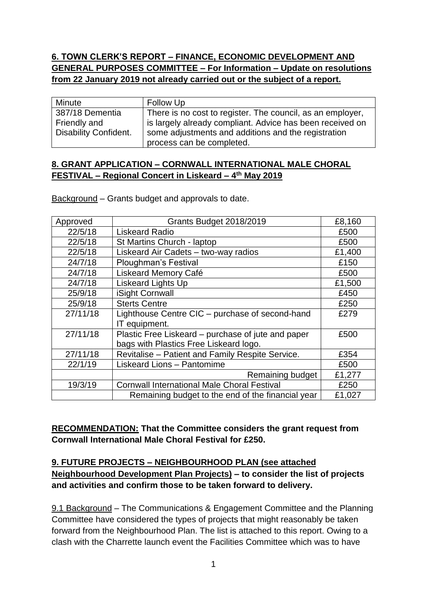# **6. TOWN CLERK'S REPORT – FINANCE, ECONOMIC DEVELOPMENT AND GENERAL PURPOSES COMMITTEE – For Information – Update on resolutions from 22 January 2019 not already carried out or the subject of a report.**

| Minute                       | Follow Up                                                  |  |
|------------------------------|------------------------------------------------------------|--|
| 387/18 Dementia              | There is no cost to register. The council, as an employer, |  |
| Friendly and                 | is largely already compliant. Advice has been received on  |  |
| <b>Disability Confident.</b> | some adjustments and additions and the registration        |  |
|                              | process can be completed.                                  |  |

### **8. GRANT APPLICATION – CORNWALL INTERNATIONAL MALE CHORAL FESTIVAL – Regional Concert in Liskeard – 4 th May 2019**

Background – Grants budget and approvals to date.

| Approved | Grants Budget 2018/2019                            | £8,160 |
|----------|----------------------------------------------------|--------|
| 22/5/18  | <b>Liskeard Radio</b>                              | £500   |
| 22/5/18  | St Martins Church - laptop                         | £500   |
| 22/5/18  | Liskeard Air Cadets - two-way radios               | £1,400 |
| 24/7/18  | <b>Ploughman's Festival</b>                        | £150   |
| 24/7/18  | <b>Liskeard Memory Café</b>                        | £500   |
| 24/7/18  | <b>Liskeard Lights Up</b>                          | £1,500 |
| 25/9/18  | iSight Cornwall                                    | £450   |
| 25/9/18  | <b>Sterts Centre</b>                               | £250   |
| 27/11/18 | Lighthouse Centre CIC - purchase of second-hand    | £279   |
|          | IT equipment.                                      |        |
| 27/11/18 | Plastic Free Liskeard – purchase of jute and paper | £500   |
|          | bags with Plastics Free Liskeard logo.             |        |
| 27/11/18 | Revitalise - Patient and Family Respite Service.   | £354   |
| 22/1/19  | Liskeard Lions - Pantomime                         | £500   |
|          | Remaining budget                                   | £1,277 |
| 19/3/19  | <b>Cornwall International Male Choral Festival</b> | £250   |
|          | Remaining budget to the end of the financial year  | £1,027 |

**RECOMMENDATION: That the Committee considers the grant request from Cornwall International Male Choral Festival for £250.**

# **9. FUTURE PROJECTS – NEIGHBOURHOOD PLAN (see attached Neighbourhood Development Plan Projects) – to consider the list of projects and activities and confirm those to be taken forward to delivery.**

9.1 Background – The Communications & Engagement Committee and the Planning Committee have considered the types of projects that might reasonably be taken forward from the Neighbourhood Plan. The list is attached to this report. Owing to a clash with the Charrette launch event the Facilities Committee which was to have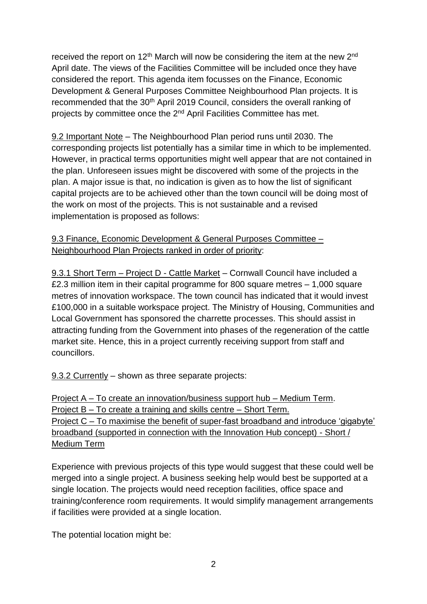received the report on 12<sup>th</sup> March will now be considering the item at the new 2<sup>nd</sup> April date. The views of the Facilities Committee will be included once they have considered the report. This agenda item focusses on the Finance, Economic Development & General Purposes Committee Neighbourhood Plan projects. It is recommended that the 30<sup>th</sup> April 2019 Council, considers the overall ranking of projects by committee once the 2<sup>nd</sup> April Facilities Committee has met.

9.2 Important Note – The Neighbourhood Plan period runs until 2030. The corresponding projects list potentially has a similar time in which to be implemented. However, in practical terms opportunities might well appear that are not contained in the plan. Unforeseen issues might be discovered with some of the projects in the plan. A major issue is that, no indication is given as to how the list of significant capital projects are to be achieved other than the town council will be doing most of the work on most of the projects. This is not sustainable and a revised implementation is proposed as follows:

### 9.3 Finance, Economic Development & General Purposes Committee – Neighbourhood Plan Projects ranked in order of priority:

9.3.1 Short Term – Project D - Cattle Market – Cornwall Council have included a £2.3 million item in their capital programme for 800 square metres – 1,000 square metres of innovation workspace. The town council has indicated that it would invest £100,000 in a suitable workspace project. The Ministry of Housing, Communities and Local Government has sponsored the charrette processes. This should assist in attracting funding from the Government into phases of the regeneration of the cattle market site. Hence, this in a project currently receiving support from staff and councillors.

9.3.2 Currently – shown as three separate projects:

Project A – To create an innovation/business support hub – Medium Term. Project B – To create a training and skills centre – Short Term. Project C – To maximise the benefit of super-fast broadband and introduce 'gigabyte' broadband (supported in connection with the Innovation Hub concept) - Short / Medium Term

Experience with previous projects of this type would suggest that these could well be merged into a single project. A business seeking help would best be supported at a single location. The projects would need reception facilities, office space and training/conference room requirements. It would simplify management arrangements if facilities were provided at a single location.

The potential location might be: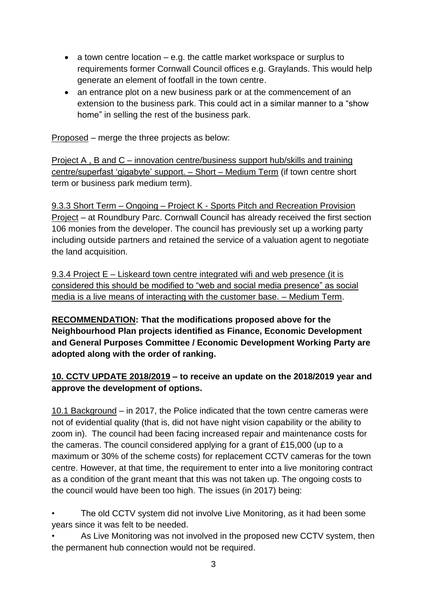- a town centre location  $-$  e.g. the cattle market workspace or surplus to requirements former Cornwall Council offices e.g. Graylands. This would help generate an element of footfall in the town centre.
- an entrance plot on a new business park or at the commencement of an extension to the business park. This could act in a similar manner to a "show home" in selling the rest of the business park.

Proposed – merge the three projects as below:

Project A , B and C – innovation centre/business support hub/skills and training centre/superfast 'gigabyte' support. – Short – Medium Term (if town centre short term or business park medium term).

9.3.3 Short Term – Ongoing – Project K - Sports Pitch and Recreation Provision Project – at Roundbury Parc. Cornwall Council has already received the first section 106 monies from the developer. The council has previously set up a working party including outside partners and retained the service of a valuation agent to negotiate the land acquisition.

9.3.4 Project E – Liskeard town centre integrated wifi and web presence (it is considered this should be modified to "web and social media presence" as social media is a live means of interacting with the customer base. – Medium Term.

**RECOMMENDATION: That the modifications proposed above for the Neighbourhood Plan projects identified as Finance, Economic Development and General Purposes Committee / Economic Development Working Party are adopted along with the order of ranking.**

# **10. CCTV UPDATE 2018/2019 – to receive an update on the 2018/2019 year and approve the development of options.**

10.1 Background – in 2017, the Police indicated that the town centre cameras were not of evidential quality (that is, did not have night vision capability or the ability to zoom in). The council had been facing increased repair and maintenance costs for the cameras. The council considered applying for a grant of £15,000 (up to a maximum or 30% of the scheme costs) for replacement CCTV cameras for the town centre. However, at that time, the requirement to enter into a live monitoring contract as a condition of the grant meant that this was not taken up. The ongoing costs to the council would have been too high. The issues (in 2017) being:

- The old CCTV system did not involve Live Monitoring, as it had been some years since it was felt to be needed.
- As Live Monitoring was not involved in the proposed new CCTV system, then the permanent hub connection would not be required.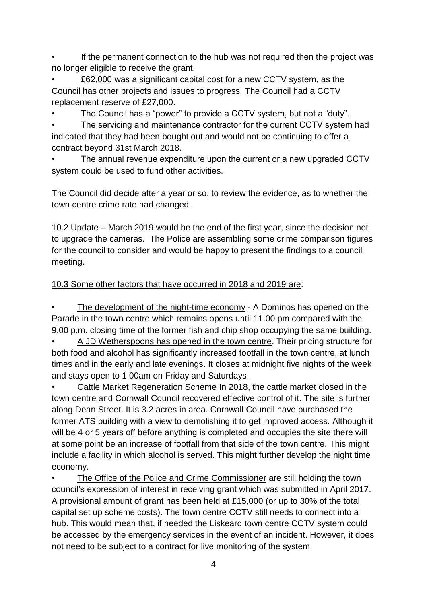If the permanent connection to the hub was not required then the project was no longer eligible to receive the grant.

• £62,000 was a significant capital cost for a new CCTV system, as the Council has other projects and issues to progress. The Council had a CCTV replacement reserve of £27,000.

• The Council has a "power" to provide a CCTV system, but not a "duty".

The servicing and maintenance contractor for the current CCTV system had indicated that they had been bought out and would not be continuing to offer a contract beyond 31st March 2018.

The annual revenue expenditure upon the current or a new upgraded CCTV system could be used to fund other activities.

The Council did decide after a year or so, to review the evidence, as to whether the town centre crime rate had changed.

10.2 Update – March 2019 would be the end of the first year, since the decision not to upgrade the cameras. The Police are assembling some crime comparison figures for the council to consider and would be happy to present the findings to a council meeting.

# 10.3 Some other factors that have occurred in 2018 and 2019 are:

The development of the night-time economy - A Dominos has opened on the Parade in the town centre which remains opens until 11.00 pm compared with the 9.00 p.m. closing time of the former fish and chip shop occupying the same building.

• A JD Wetherspoons has opened in the town centre. Their pricing structure for both food and alcohol has significantly increased footfall in the town centre, at lunch times and in the early and late evenings. It closes at midnight five nights of the week and stays open to 1.00am on Friday and Saturdays.

• Cattle Market Regeneration Scheme In 2018, the cattle market closed in the town centre and Cornwall Council recovered effective control of it. The site is further along Dean Street. It is 3.2 acres in area. Cornwall Council have purchased the former ATS building with a view to demolishing it to get improved access. Although it will be 4 or 5 years off before anything is completed and occupies the site there will at some point be an increase of footfall from that side of the town centre. This might include a facility in which alcohol is served. This might further develop the night time economy.

The Office of the Police and Crime Commissioner are still holding the town council's expression of interest in receiving grant which was submitted in April 2017. A provisional amount of grant has been held at £15,000 (or up to 30% of the total capital set up scheme costs). The town centre CCTV still needs to connect into a hub. This would mean that, if needed the Liskeard town centre CCTV system could be accessed by the emergency services in the event of an incident. However, it does not need to be subject to a contract for live monitoring of the system.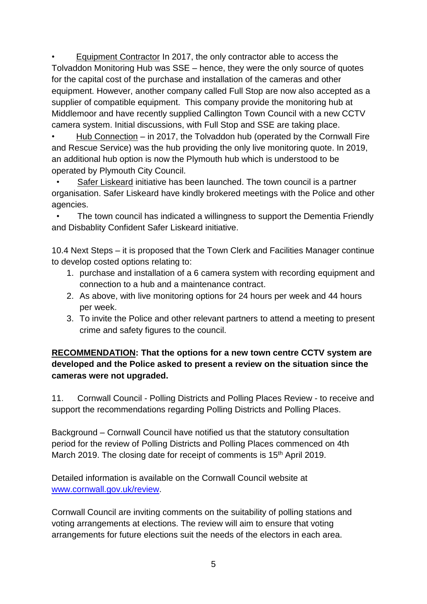• Equipment Contractor In 2017, the only contractor able to access the Tolvaddon Monitoring Hub was SSE – hence, they were the only source of quotes for the capital cost of the purchase and installation of the cameras and other equipment. However, another company called Full Stop are now also accepted as a supplier of compatible equipment. This company provide the monitoring hub at Middlemoor and have recently supplied Callington Town Council with a new CCTV camera system. Initial discussions, with Full Stop and SSE are taking place.

• Hub Connection – in 2017, the Tolvaddon hub (operated by the Cornwall Fire and Rescue Service) was the hub providing the only live monitoring quote. In 2019, an additional hub option is now the Plymouth hub which is understood to be operated by Plymouth City Council.

Safer Liskeard initiative has been launched. The town council is a partner organisation. Safer Liskeard have kindly brokered meetings with the Police and other agencies.

 • The town council has indicated a willingness to support the Dementia Friendly and Disbablity Confident Safer Liskeard initiative.

10.4 Next Steps – it is proposed that the Town Clerk and Facilities Manager continue to develop costed options relating to:

- 1. purchase and installation of a 6 camera system with recording equipment and connection to a hub and a maintenance contract.
- 2. As above, with live monitoring options for 24 hours per week and 44 hours per week.
- 3. To invite the Police and other relevant partners to attend a meeting to present crime and safety figures to the council.

# **RECOMMENDATION: That the options for a new town centre CCTV system are developed and the Police asked to present a review on the situation since the cameras were not upgraded.**

11. Cornwall Council - Polling Districts and Polling Places Review - to receive and support the recommendations regarding Polling Districts and Polling Places.

Background – Cornwall Council have notified us that the statutory consultation period for the review of Polling Districts and Polling Places commenced on 4th March 2019. The closing date for receipt of comments is 15<sup>th</sup> April 2019.

Detailed information is available on the Cornwall Council website at [www.cornwall.gov.uk/review.](http://www.cornwall.gov.uk/review)

Cornwall Council are inviting comments on the suitability of polling stations and voting arrangements at elections. The review will aim to ensure that voting arrangements for future elections suit the needs of the electors in each area.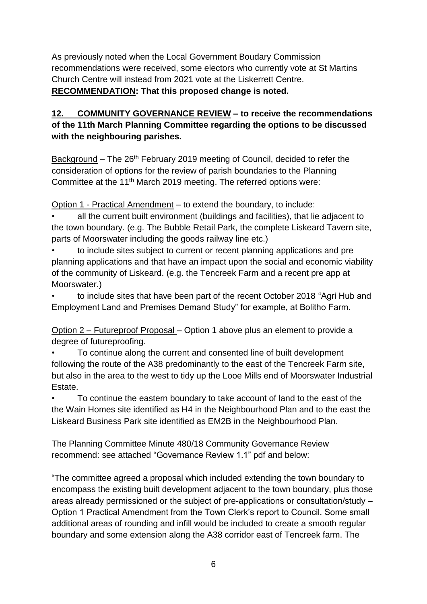As previously noted when the Local Government Boudary Commission recommendations were received, some electors who currently vote at St Martins Church Centre will instead from 2021 vote at the Liskerrett Centre. **RECOMMENDATION: That this proposed change is noted.**

# **12. COMMUNITY GOVERNANCE REVIEW – to receive the recommendations of the 11th March Planning Committee regarding the options to be discussed with the neighbouring parishes.**

Background – The 26<sup>th</sup> February 2019 meeting of Council, decided to refer the consideration of options for the review of parish boundaries to the Planning Committee at the 11<sup>th</sup> March 2019 meeting. The referred options were:

Option 1 - Practical Amendment – to extend the boundary, to include:

• all the current built environment (buildings and facilities), that lie adjacent to the town boundary. (e.g. The Bubble Retail Park, the complete Liskeard Tavern site, parts of Moorswater including the goods railway line etc.)

• to include sites subject to current or recent planning applications and pre planning applications and that have an impact upon the social and economic viability of the community of Liskeard. (e.g. the Tencreek Farm and a recent pre app at Moorswater.)

• to include sites that have been part of the recent October 2018 "Agri Hub and Employment Land and Premises Demand Study" for example, at Bolitho Farm.

Option 2 – Futureproof Proposal – Option 1 above plus an element to provide a degree of futureproofing.

• To continue along the current and consented line of built development following the route of the A38 predominantly to the east of the Tencreek Farm site, but also in the area to the west to tidy up the Looe Mills end of Moorswater Industrial Estate.

• To continue the eastern boundary to take account of land to the east of the the Wain Homes site identified as H4 in the Neighbourhood Plan and to the east the Liskeard Business Park site identified as EM2B in the Neighbourhood Plan.

The Planning Committee Minute 480/18 Community Governance Review recommend: see attached "Governance Review 1.1" pdf and below:

"The committee agreed a proposal which included extending the town boundary to encompass the existing built development adjacent to the town boundary, plus those areas already permissioned or the subject of pre-applications or consultation/study – Option 1 Practical Amendment from the Town Clerk's report to Council. Some small additional areas of rounding and infill would be included to create a smooth regular boundary and some extension along the A38 corridor east of Tencreek farm. The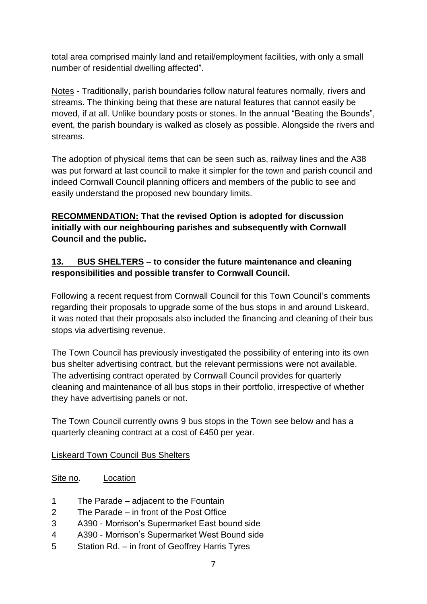total area comprised mainly land and retail/employment facilities, with only a small number of residential dwelling affected".

Notes - Traditionally, parish boundaries follow natural features normally, rivers and streams. The thinking being that these are natural features that cannot easily be moved, if at all. Unlike boundary posts or stones. In the annual "Beating the Bounds", event, the parish boundary is walked as closely as possible. Alongside the rivers and streams.

The adoption of physical items that can be seen such as, railway lines and the A38 was put forward at last council to make it simpler for the town and parish council and indeed Cornwall Council planning officers and members of the public to see and easily understand the proposed new boundary limits.

# **RECOMMENDATION: That the revised Option is adopted for discussion initially with our neighbouring parishes and subsequently with Cornwall Council and the public.**

# **13. BUS SHELTERS – to consider the future maintenance and cleaning responsibilities and possible transfer to Cornwall Council.**

Following a recent request from Cornwall Council for this Town Council's comments regarding their proposals to upgrade some of the bus stops in and around Liskeard, it was noted that their proposals also included the financing and cleaning of their bus stops via advertising revenue.

The Town Council has previously investigated the possibility of entering into its own bus shelter advertising contract, but the relevant permissions were not available. The advertising contract operated by Cornwall Council provides for quarterly cleaning and maintenance of all bus stops in their portfolio, irrespective of whether they have advertising panels or not.

The Town Council currently owns 9 bus stops in the Town see below and has a quarterly cleaning contract at a cost of £450 per year.

#### Liskeard Town Council Bus Shelters

Site no. Location

- 1 The Parade adjacent to the Fountain
- 2 The Parade in front of the Post Office
- 3 A390 Morrison's Supermarket East bound side
- 4 A390 Morrison's Supermarket West Bound side
- 5 Station Rd. in front of Geoffrey Harris Tyres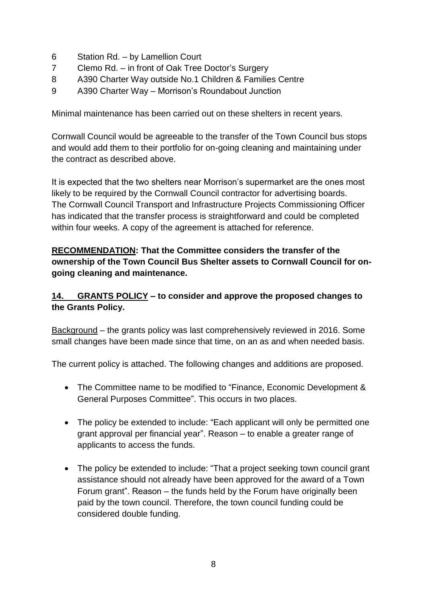- 6 Station Rd. by Lamellion Court
- 7 Clemo Rd. in front of Oak Tree Doctor's Surgery
- 8 A390 Charter Way outside No.1 Children & Families Centre
- 9 A390 Charter Way Morrison's Roundabout Junction

Minimal maintenance has been carried out on these shelters in recent years.

Cornwall Council would be agreeable to the transfer of the Town Council bus stops and would add them to their portfolio for on-going cleaning and maintaining under the contract as described above.

It is expected that the two shelters near Morrison's supermarket are the ones most likely to be required by the Cornwall Council contractor for advertising boards. The Cornwall Council Transport and Infrastructure Projects Commissioning Officer has indicated that the transfer process is straightforward and could be completed within four weeks. A copy of the agreement is attached for reference.

### **RECOMMENDATION: That the Committee considers the transfer of the ownership of the Town Council Bus Shelter assets to Cornwall Council for ongoing cleaning and maintenance.**

### **14. GRANTS POLICY – to consider and approve the proposed changes to the Grants Policy.**

Background – the grants policy was last comprehensively reviewed in 2016. Some small changes have been made since that time, on an as and when needed basis.

The current policy is attached. The following changes and additions are proposed.

- The Committee name to be modified to "Finance, Economic Development & General Purposes Committee". This occurs in two places.
- The policy be extended to include: "Each applicant will only be permitted one grant approval per financial year". Reason – to enable a greater range of applicants to access the funds.
- The policy be extended to include: "That a project seeking town council grant assistance should not already have been approved for the award of a Town Forum grant". Reason – the funds held by the Forum have originally been paid by the town council. Therefore, the town council funding could be considered double funding.